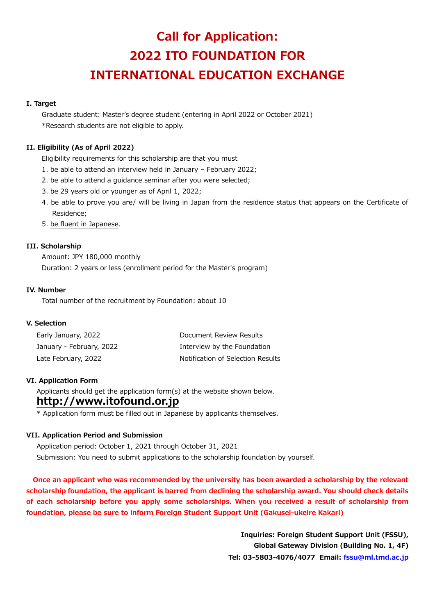# **Call for Application: 2022 ITO FOUNDATION FOR INTERNATIONAL EDUCATION EXCHANGE**

## **I. Target**

Graduate student: Master's degree student (entering in April 2022 or October 2021) \*Research students are not eligible to apply.

## **II. Eligibility (As of April 2022)**

Eligibility requirements for this scholarship are that you must

- 1. be able to attend an interview held in January February 2022;
- 2. be able to attend a guidance seminar after you were selected;
- 3. be 29 years old or younger as of April 1, 2022;
- 4. be able to prove you are/ will be living in Japan from the residence status that appears on the Certificate of Residence;
- 5. be fluent in Japanese.

### **III. Scholarship**

Amount: JPY 180,000 monthly Duration: 2 years or less (enrollment period for the Master's program)

### **IV. Number**

Total number of the recruitment by Foundation: about 10

### **V. Selection**

| Early January, 2022      | Document Review Results           |
|--------------------------|-----------------------------------|
| January - February, 2022 | Interview by the Foundation       |
| Late February, 2022      | Notification of Selection Results |

### **VI. Application Form**

Applicants should get the application form(s) at the website shown below.

## **http://www.itofound.or.jp**

\* Application form must be filled out in Japanese by applicants themselves.

### **VII. Application Period and Submission**

Application period: October 1, 2021 through October 31, 2021 Submission: You need to submit applications to the scholarship foundation by yourself.

 **Once an applicant who was recommended by the university has been awarded a scholarship by the relevant scholarship foundation, the applicant is barred from declining the scholarship award. You should check details of each scholarship before you apply some scholarships. When you received a result of scholarship from foundation, please be sure to inform Foreign Student Support Unit (Gakusei-ukeire Kakari)**

> **Inquiries: Foreign Student Support Unit (FSSU), Global Gateway Division (Building No. 1, 4F) Tel: 03-5803-4076/4077 Email: [fssu@ml.tmd.ac.jp](mailto:fssu@ml.tmd.ac.jp)**